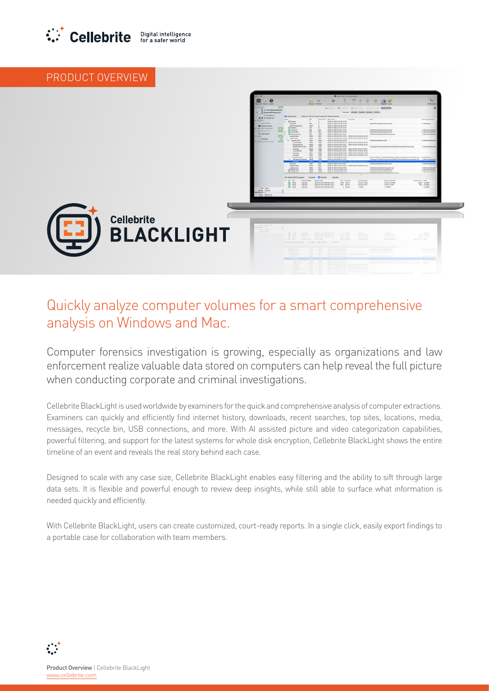

## PRODUCT OVERVIEW



## Quickly analyze computer volumes for a smart comprehensive analysis on Windows and Mac.

Computer forensics investigation is growing, especially as organizations and law enforcement realize valuable data stored on computers can help reveal the full picture when conducting corporate and criminal investigations.

Cellebrite BlackLight is used worldwide by examiners for the quick and comprehensive analysis of computer extractions. Examiners can quickly and efficiently find internet history, downloads, recent searches, top sites, locations, media, messages, recycle bin, USB connections, and more. With AI assisted picture and video categorization capabilities, powerful filtering, and support for the latest systems for whole disk encryption, Cellebrite BlackLight shows the entire timeline of an event and reveals the real story behind each case.

Designed to scale with any case size, Cellebrite BlackLight enables easy filtering and the ability to sift through large data sets. It is flexible and powerful enough to review deep insights, while still able to surface what information is needed quickly and efficiently.

With Cellebrite BlackLight, users can create customized, court-ready reports. In a single click, easily export findings to a portable case for collaboration with team members.